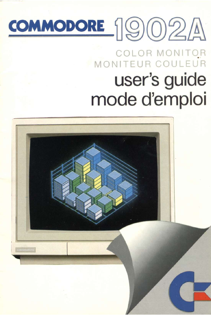# COMMODORE 1902A

# COLOR MONITOR<br>MONITEUR COULEUR user's guide mode d'emploi

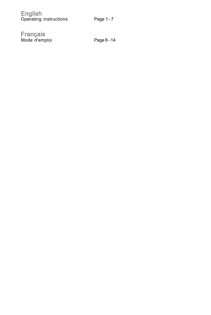| English |                        |
|---------|------------------------|
|         | Operating instructions |

Mode d'emploi Page 8 - 14 **Français**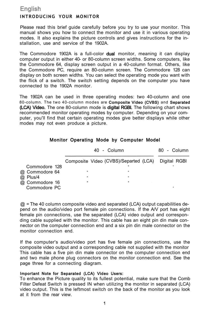# **English INTRODUCING YOUR MONITOR**

Please read this brief guide carefully before you try to use your monitor. This manual shows you how to connect the monitor and use it in various operating modes. It also explains the picture controls and gives instructions for the installation, use and service of the 1902A.

The Commodore 1902A is a full-color **dual** monitor, meaning it can display computer output in either 40- or 80-column screen widths. Some computers, like the Commodore 64, display screen output in a 40-column format. Others, like the Commodore PC, require an 80-column screen. The Commodore 128 can display on both screen widths. You can select the operating mode you want with the flick of a switch. The switch setting depends on the computer you have connected to the 1902A monitor.

The 1902A can be used in three operating modes: two 40-column and one 80-column. The two 40-column modes are **Composite Video (CVBS)** and **Separated (LCA) Video.** The one 80-column mode is **digital RGBI.** The following chart shows recommended monitor operating modes by computer. Depending on your computer, you'll find that certain operating modes give better displays while other modes may not even produce a picture.

### **Monitor Operating Mode by Computer Model**

|                                | 40 - Column                                        | 80 - Column |
|--------------------------------|----------------------------------------------------|-------------|
|                                | Composite Video (CVBS)/Separted (LCA) Digital RGBI |             |
| Commodore 128                  |                                                    |             |
| @ Commodore 64                 | ×.                                                 |             |
| @ Plus/4                       | ٠                                                  |             |
| @ Commodore 16<br>Commodore PC |                                                    | ۰           |

 $@$  = The 40 column composite video and separated (LCA) output capabilities depend on the audio/video port female pin connections. If the A/V port has eight female pin connections, use the separated (LCA) video output and corresponding cable supplied with the monitor. This cable has an eight pin din male connector on the computer connection end and a six pin din male connector on the monitor connection end.

If the computer's audio/video port has five female pin connections, use the composite video output and a corresponding cable not supplied with the monitor This cable has a five pin din male connector on the computer connection end and two male phone plug connectors on the monitor connection end. See the page three for a connecting diagram.

#### **Important Note for Separated (LCA) Video Users:**

To enhance the Picture quality to its fullest potential, make sure that the Comb Filter Defeat Switch is pressed IN when utilizing the monitor in separated (LCA) video output. This is the leftmost switch on the back of the monitor as you look at it from the rear view.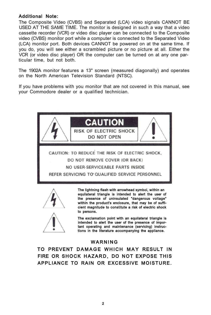# **Additional Note:**

The Composite Video (CVBS) and Separated (LCA) video signals CANNOT BE USED AT THE SAME TIME. The monitor is designed in such a way that a video cassette recorder (VCR) or video disc player can be connected to the Composite video (CVBS) monitor port while a computer is connected to the Separated Video (LCA) monitor port. Both devices CANNOT be powered on at the same time. If you do, you will see either a scrambled picture or no picture at all. Either the VCR (or video disc player) OR the computer can be turned on at any one particular time, but not both.

The 1902A monitor features a 13" screen (measured diagonally) and operates on the North American Television Standard (NTSC).

If you have problems with you monitor that are not covered in this manual, see your Commodore dealer or a qualified technician.





**The lightning flash with arrowhead symbol, within an equilateral triangle is intended to alert the user of the presence of uninsulated "dangerous voltage" within the product's enclosure, that may be of sufficient magnitude to constitute a risk of electric shock to persons.** 



**The exclamation point with an equilateral triangle is intended to alert the user of the presence of important operating and maintenance (servicing) instructions in the literature accompanying the appliance.** 

# **WARNIN G**

**TO PREVENT DAMAGE WHICH MAY RESULT IN FIRE OR SHOCK HAZARD, DO NOT EXPOSE THIS APPLIANCE TO RAIN OR EXCESSIVE MOISTURE.**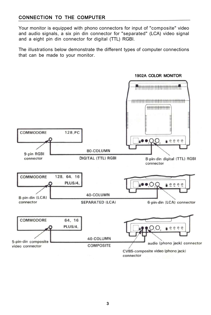# **CONNECTION TO THE COMPUTER**

Your monitor is equipped with phono connectors for input of "composite" video and audio signals, a six pin din connector for "separated" (LCA) video signal and a eight pin din connector for digital (TTL) RGBI.

The illustrations below demonstrate the different types of computer connections that can be made to your monitor.

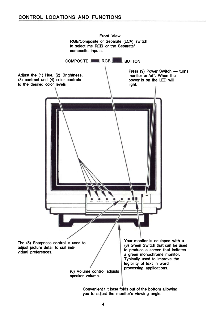

**you to adjust the monitor's viewing angle.**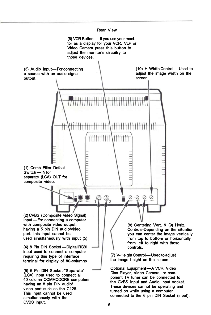

**(6) VCR Button — If you use your monitor as a display for your VCR, VLP or Video Camera press this button to adjust the monitor's circuitry to those devices.** 

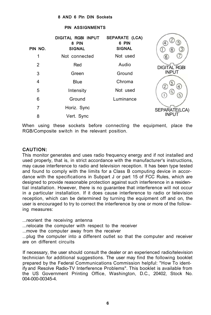#### **8 AND 6 Pin DIN Sockets**

#### **PIN ASSIGNMENTS**

| PIN NO. | DIGITAL RGBI INPUT<br>8 PIN<br><b>SIGNAL</b> | <b>SEPARATE (LCA)</b><br>6 PIN<br><b>SIGNAL</b> | 8                        |
|---------|----------------------------------------------|-------------------------------------------------|--------------------------|
| 1       | Not connected                                | Not used                                        |                          |
| 2       | Red                                          | Audio                                           | <b>DIGITAL RGBI</b>      |
| 3       | Green                                        | Ground                                          | <b>INPUT</b>             |
| 4       | <b>Blue</b>                                  | Chroma                                          |                          |
| 5       | Intensity                                    | Not used                                        | (2)<br>4<br>$\mathbf{S}$ |
| 6       | Ground                                       | Luminance                                       | 5                        |
| 7       | Horiz. Sync                                  |                                                 | SEPARATE(LCA)            |
| 8       | Vert. Sync                                   |                                                 | <b>INPUT</b>             |

When using these sockets before connecting the equipment, place the RGB/Composite switch in the relevant position.

# **CAUTION:**

This monitor generates and uses radio frequency energy and if not installed and used properly, that is, in strict accordance with the manufacturer's instructions, may cause interference to radio and television reception. It has been type tested and found to comply with the limits for a Class B computing device in accordance with the specifications in Subpart J or part 15 of FCC Rules, which are designed to provide reasonable protection against such interference in a residential installation. However, there is no guarantee that interference will not occur in a particular installation. If it does cause interference to radio or television reception, which can be determined by turning the equipment off and on, the user is encouraged to try to correct the interference by one or more of the following measures:

...reorient the receiving antenna

...relocate the computer with respect to the receiver

...move the computer away from the receiver

...plug the computer into a different outlet so that the computer and receiver are on different circuits

If necessary, the user should consult the dealer or an experienced radio/television technician for additional suggestions. The user may find the following booklet prepared by the Federal Communications Commission helpful: "How To identify and Resolve Radio-TV Interference Problems". This booklet is available from the US Government Printing Office, Washington, D.C., 20402, Stock No. 004-000-00345-4.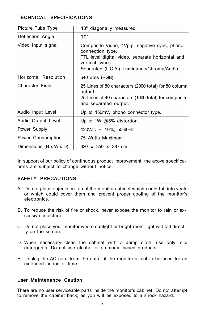# **TECHNICAL SPECIFICATIONS**

| Picture Tube Type      | 13" diagonally measured                                                                                                                                                              |
|------------------------|--------------------------------------------------------------------------------------------------------------------------------------------------------------------------------------|
| Deflection Angle       | $90^{\circ}$                                                                                                                                                                         |
| Video Input signal     | Composite Video, 1Vp-p, negative sync, phono<br>connection type.<br>TTL level digital video, separate horizontal and<br>vertical syncs.<br>Separated (L.C.A.) Luminance/Chroma/Audio |
| Horizontal Resolution  | 640 dots (RGB)                                                                                                                                                                       |
| Character Field        | 25 Lines of 80 characters (2000 total) for 80 column<br>output.<br>25 Lines of 40 characters (1000 total) for composite<br>and separated output.                                     |
| Audio Input Level      | Up to 150mV, phono connector type.                                                                                                                                                   |
| Audio Output Level     | Up to 1W $@5\%$ distortion.                                                                                                                                                          |
| Power Supply           | 120Vac ± 10%, 50-60Hz                                                                                                                                                                |
| Power Consumption      | 75 Watts Maximum                                                                                                                                                                     |
| Dimensions (H x W x D) | 320 x 350 x 387mm                                                                                                                                                                    |

In support of our policy of continuous product improvement, the above specifications are subject to change without notice.

# **SAFETY PRECAUTIONS**

- A. Do not place objects on top of the monitor cabinet which could fall into vents or which could cover them and prevent proper cooling of the monitor's electronics.
- B. To reduce the risk of fire or shock, never expose the monitor to rain or excessive moisture.
- C. Do not place your monitor where sunlight or bright room light will fall directly on the screen.
- D. When necessary clean the cabinet with a damp cloth. use only mild detergents. Do not use alcohol or ammonia based products.
- E. Unplug the AC cord from the outlet if the monitor is not to be used for an extended period of time.

# **User Maintenance Caution**

There are no user serviceable parts inside the monitor's cabinet. Do not attempt to remove the cabinet back, as you will be exposed to a shock hazard.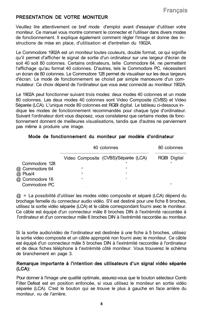# **PRESENTATION DE VOTRE MONITEUR**

Veuillez lire attentivement ce bref mode d'emploi avant d'essayer d'utiliser votre moniteur. Ce manuel vous montre comment le connecter et l'utiliser dans divers modes de fonctionnement. Il explique également comment régler l'image et donne des instructions de mise en place, d'utilisation et d'entretien du 1902A.

Le Commodore 1902A est un moniteur toutes couleurs, double format, ce qui signifie qu'il permet d'afficher le signal de sortie d'un ordinateur sur une largeur d'écran de soit 40 soit 80 colonnes. Certains ordinateurs, telle Commodore 64. ne permettent l'affichage qu'au format 40 colonnes. D'autres, tels le Commodore PC, nécessitent un écran de 80 colonnes. Le Commodore 128 permet de visualiser sur les deux largeurs d'écran. Le mode de fonctionnement se choisit par simple manoeuvre d'un commutateur. Ce choix dépend de l'ordinateur que vous avez connecté au moniteur 1902A.

Le 1902A peut fonctionner suivant trois modes: deux modes 40 colonnes et un mode 80 colonnes. Les deux modes 40 colonnes sont Video Composite (CVBS) et Video Séparée (LCA). L'unique mode 80 colonnes est RGBI digital. Le tableau ci-dessous indique les modes de fonctionnement recommandés pour chaque type d'ordinateur. Suivant l'ordinateur dont vous disposez, vous constaterez que certains modes de fonctionnement donnent de meilleures visualisations, tandis que d'autres ne parviennent pas même à produire une image.

#### **Mode de fonctionnement du moniteur par modèle d'ordinateur**

|                | 40 colonnes |                                      | 80 colonnes  |  |
|----------------|-------------|--------------------------------------|--------------|--|
|                |             | Video Composite (CVBS)/Séparée (LCA) | RGBI Digital |  |
| Commodore 128  |             |                                      |              |  |
| @ Commodore 64 |             |                                      |              |  |
| @ Plus/4       |             |                                      |              |  |
| @ Commodore 16 |             |                                      |              |  |
| Commodore PC   |             |                                      |              |  |

 $@ =$  La possibilité d'utiliser les modes vidéo composite et séparé (LCA) dépend du brochage femelle du connecteur audio vidéo. S'il est destiné pour une fiche 8 broches, utilisez la sortie vidéo séparée (LCA) et le câble correspondant fourni avec le moniteur. Ce câble est équipé d'un connecteur mâle 8 broches DIN à l'extrémité raccordée à l'ordinateur et d'un connecteur mâle 6 broches DIN à l'extrémité raccordée au moniteur.

Si la sortie audio/vidéo de l'ordinateur est destinée à une fiche à 5 broches, utilisez la sortie video composite et un câble approprié non fourni avec le moniteur. Ce câble est équipé d'un connecteur mâle 5 broches DIN à l'extrémité raccordée à l'ordinateur et de deux fiches téléphone à t'extrémité côté moniteur. Vous trouverez le schéma de branchement en page 3.

#### **Remarque importante à l'intention des utilisateurs d'un signal vidéo séparée (LCA):**

Pour donner à l'image une qualité optimale, assurez-vous que le bouton sélecteur Comb Filter Defeat est en position enfoncée, si vous utilisez le moniteur en sortie vidéo séparée (LCA). C'est le bouton qui se trouve le plus à gauche en face arrière du moniteur, vu de l'arrière.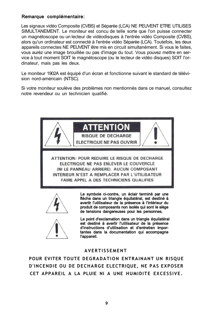# **Remarque complémentaire:**

Les signaux vidéo Composite (CVBS) et Séparée (LCA) NE PEUVENT ETRE UTILISES SIMULTANEMENT. Le moniteur est concu de telle sorte que l'on puisse connecter un magnétoscope ou un lecteur de vidéodisques à l'entrée vidéo Composite (CVBS), alors qu'un ordinateur est connecté à l'entrée vidéo Séparée (LCA). Toutefois, les deux appareils connectes NE PEUVENT être mis en circuit simultanément. Si vous le faites, vous auréz une image brouillée ou pas d'image du tout. Vous pouvez mettre en service à tout moment SOIT le magnétoscope (ou le lecteur de vidéo disques) SOIT l'ordinateur, mais pas les deux.

Le moniteur 1902A est équipé d'un écran et fonctionne suivant le standard de télévision nord-américain (NTSC).

Si votre moniteur soulève des problèmes non mentionnés dans ce manuel, consultez notre revendeur ou un technicien qualifié.



#### **AVERTISSEMENT**

**POUR EVITER TOUTE DEGRADATION ENTRAINANT UN RISQUE D'INCENDIE OU DE DECHARGE ELECTRIQUE, NE PAS EXPOSER CET APPAREIL A LA PLUIE NI A UNE HUMIDITE EXCESSIVE.**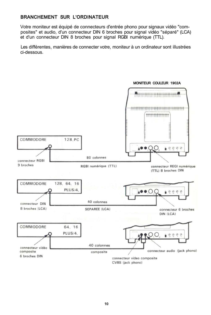# **BRANCHEMENT SUR L'ORDINATEUR**

Votre moniteur est équipé de connecteurs d'entrée phono pour signaux vidéo "composites" et audio, d'un connecteur DIN 6 broches pour signal vidéo "séparé" (LCA) et d'un connecteur DIN 8 broches pour signal RGBI numérique (TTL).

Les différentes, manières de connecter votre, moniteur à un ordinateur sont illustrées ci-dessous.



#### **MONITEUR COULEUR 1902A**

CVBS (jack phono)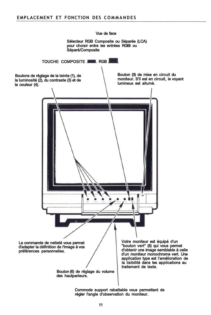

**Commode support rabattable vous permettant de régler l'angle d'observation du moniteur.**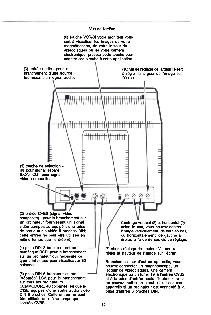#### **Vue de l'arrière**

**(6) touche VCR-Si votre moniteur vous sert à visualiser les images de votre magnétoscope, de votre lecteur de vidéodisques ou de votre caméra électronique, pressez cette touche pour adapter ses circuits à cette application.** 

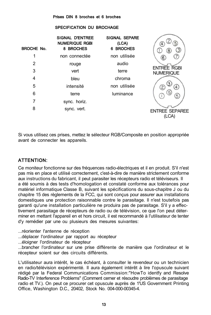#### **Prises DIN 8 broches et 6 broches**

#### **SPECIFICATION DU BROCHAGE**

| <b>BROCHE No.</b> | <b>SIGNAL D'ENTREE</b><br><b>NUMERIQUE RGBI</b><br>8 BROCHES | <b>SIGNAL SEPARE</b><br>(LCA)<br>6 BROCHES | $\overline{5}$<br>4<br>$\theta$        |
|-------------------|--------------------------------------------------------------|--------------------------------------------|----------------------------------------|
|                   | non connectée                                                | non utilisée                               |                                        |
| 2                 | rouge                                                        | audio                                      |                                        |
| 3                 | vert                                                         | terre                                      | <b>ENTREE RGBI</b><br><b>NUMERIQUE</b> |
| 4                 | bleu                                                         | chroma                                     |                                        |
| 5                 | intensité                                                    | non utilisée                               |                                        |
| 6                 | terre                                                        | luminance                                  | 6                                      |
| 7                 | sync. horiz.                                                 |                                            |                                        |
| 8                 | sync. vert.                                                  |                                            | <b>ENTREE SEPAREE</b><br>(LCA)         |

Si vous utilisez ces prises, mettez le sélecteur RGB/Composite en position appropriée avant de connecter les appareils.

# **ATTENTION:**

Ce moniteur fonctionne sur des fréquences radio-électriques et il en produit. S'il n'est pas mis en place et utilisé correctement, c'est-à-dire de manière strictement conforme aux instructions du fabricant, il peut parasiter les récepteurs radio et téléviseurs. Il a été soumis à des tests d'homologation et constaté conforme aux tolérances pour matériel informatique Classe B, suivant les spécifications du sous-chapitre J ou du chapitre 15 des règlements de la FCC, qui sont conçus pour assurer aux installations domestiques une protection raisonnable contre le parasitage. Il n'est toutefois pas garanti qu'une installation particulière ne produira pas de parasitage. S'il y a effectivement parasitage de récepteurs de radio ou de télévision, ce que l'on peut déterminer en mettant l'appareil en et hors circuit, il est recommandé à l'utilisateur de tenter d'y remédier par une ou plusieurs des mesures suivantes:

...réorienter l'antenne de réception

...déplacer l'ordinateur par rapport au récepteur

...éloigner l'ordinateur de récepteur

...brancher l'ordinateur sur une prise différente de manière que l'ordinateur et le récepteur soient sur des circuits différents.

L'utilisateur aura intérêt, le cas échéant, à consulter le revendeur ou un technicien en radio/télévision expérimenté. Il aura également intérêt à lire l'opuscule suivant rédigé par la Federal Communications Commission:"HowTo identfy and Resolve Radio-TV Interference Problems" (Comment cerner et résoudre problèmes de parasitage radio et TV.). On peut ce procurer cet opuscule auprès de 1'US Government Printing Office, Washington D.C., 20402, Stock No. 004-000-00345-4.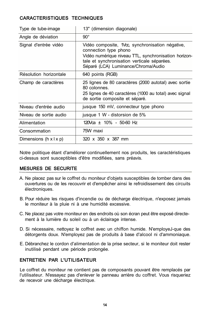# **CARACTERISTIQUES TECHNIQUES**

| Type de tube-image                 | 13" (dimension diagonale)                                                                                                                                                                                               |
|------------------------------------|-------------------------------------------------------------------------------------------------------------------------------------------------------------------------------------------------------------------------|
| Angle de déviation                 | $90^{\circ}$                                                                                                                                                                                                            |
| Signal d'entrée vidéo              | Vidéo composite, 1Vcc, synchronisation négative,<br>connection type phono<br>Vidéo numérique niveau TTL, synchronisation horizon-<br>tale et synchronisation verticale séparées.<br>Séparé (LCA) Luminance/Chroma/Audio |
| Résolution horizontale             | 640 points (RGB)                                                                                                                                                                                                        |
| Champ de caractères                | 25 lignes de 80 caractères (2000 autotal) avec sortie<br>80 colonnes.<br>25 lignes de 40 caractères (1000 au total) avec signal<br>de sortie composite et séparé.                                                       |
| Niveau d'entrée audio              | jusque 150 mV, connecteur type phono                                                                                                                                                                                    |
| Niveau de sortie audio             | jusque 1 W - distorsion de 5%                                                                                                                                                                                           |
| Alimentation                       | $120\sqrt{a} \pm 10\% - 50-60$ Hz                                                                                                                                                                                       |
| Consommation                       | 75W maxi                                                                                                                                                                                                                |
| Dimensions $(h \times   \times p)$ | 320 x 350 x 387 mm                                                                                                                                                                                                      |

Notre politique étant d'améliorer continuellement nos produits, les caractéristiques ci-dessus sont susceptibles d'être modifiées, sans préavis.

# **MESURES DE SECURITE**

- A. Ne placez pas sur le coffret du moniteur d'objets susceptibles de tomber dans des ouvertures ou de les recouvrir et d'empêcher ainsi le refroidissement des circuits électroniques.
- B. Pour réduire les risques d'incendie ou de décharge électrique, n'exposez jamais le moniteur à la pluie ni à une humidité excessive.
- C. Ne placez pas votre moniteur en des endroits où son écran peut être exposé directement à la lumière du soleil ou à un éclairage intense.
- D. Si nécessaire, nettoyez le coffret avec un chiffon humide. N'employeJ-que des détorgents doux. N'employez pas de produits à base d'alcool ni d'ammoniaque.
- E. Débranchez le cordon d'alimentation de la prise secteur, si le moniteur doit rester inutilisé pendant une période prolongée.

# **ENTRETIEN PAR L'UTILISATEUR**

Le coffret du moniteur ne contient pas de composants pouvant être remplacés par l'utilisateur. N'essayez pas d'enlever le panneau arrière du coffret. Vous risqueriez de recevoir une décharge électrique.